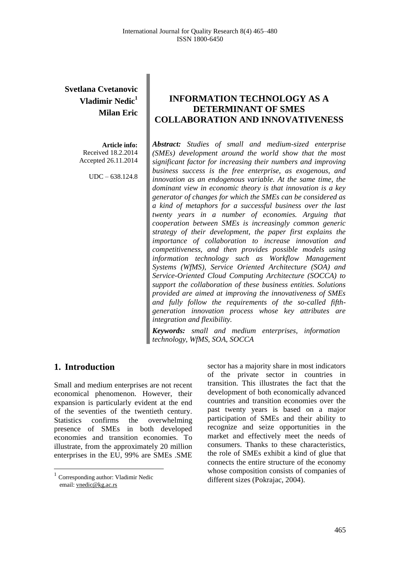# **Svetlana Cvetanovic Vladimir Nedic 1 Milan Eric**

**Article info:** Received 18.2.2014 Accepted 26.11.2014

UDC – 638.124.8

# **INFORMATION TECHNOLOGY AS A DETERMINANT OF SMES COLLABORATION AND INNOVATIVENESS**

*Abstract: Studies of small and medium-sized enterprise (SMEs) development around the world show that the most significant factor for increasing their numbers and improving business success is the free enterprise, as exogenous, and innovation as an endogenous variable. At the same time, the dominant view in economic theory is that innovation is a key generator of changes for which the SMEs can be considered as a kind of metaphors for a successful business over the last twenty years in a number of economies. Arguing that cooperation between SMEs is increasingly common generic strategy of their development, the paper first explains the importance of collaboration to increase innovation and competitiveness, and then provides possible models using information technology such as Workflow Management Systems (WfMS), Service Oriented Architecture (SOA) and Service-Oriented Cloud Computing Architecture (SOCCA) to support the collaboration of these business entities. Solutions provided are aimed at improving the innovativeness of SMEs and fully follow the requirements of the so-called fifthgeneration innovation process whose key attributes are integration and flexibility.*

*Keywords: small and medium enterprises, information technology, WfMS, SOA, SOCCA*

### **1. Introduction<sup>1</sup>**

 $\overline{a}$ 

Small and medium enterprises are not recent economical phenomenon. However, their expansion is particularly evident at the end of the seventies of the twentieth century. Statistics confirms the overwhelming presence of SMEs in both developed economies and transition economies. To illustrate, from the approximately 20 million enterprises in the EU, 99% are SMEs .SME

sector has a majority share in most indicators of the private sector in countries in transition. This illustrates the fact that the development of both economically advanced countries and transition economies over the past twenty years is based on a major participation of SMEs and their ability to recognize and seize opportunities in the market and effectively meet the needs of consumers. Thanks to these characteristics, the role of SMEs exhibit a kind of glue that connects the entire structure of the economy whose composition consists of companies of different sizes (Pokrajac, 2004).

<sup>&</sup>lt;sup>1</sup> Corresponding author: Vladimir Nedic email[: vnedic@kg.ac.rs](mailto:vnedic@kg.ac.rs)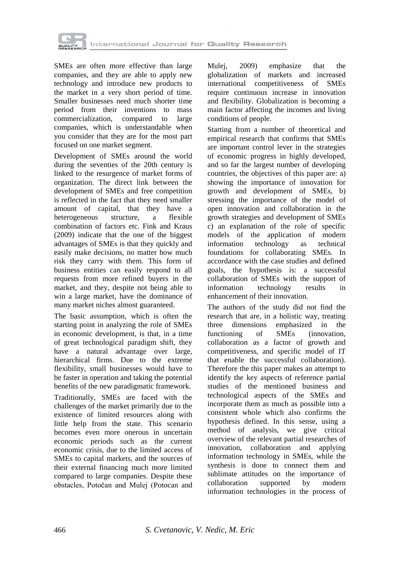

SMEs are often more effective than large companies, and they are able to apply new technology and introduce new products to the market in a very short period of time. Smaller businesses need much shorter time period from their inventions to mass commercialization, compared to large companies, which is understandable when you consider that they are for the most part focused on one market segment.

Development of SMEs around the world during the seventies of the 20th century is linked to the resurgence of market forms of organization. The direct link between the development of SMEs and free competition is reflected in the fact that they need smaller amount of capital, that they have a heterogeneous structure, a flexible combination of factors etc. Fink and Kraus (2009) indicate that the one of the biggest advantages of SMEs is that they quickly and easily make decisions, no matter how much risk they carry with them. This form of business entities can easily respond to all requests from more refined buyers in the market, and they, despite not being able to win a large market, have the dominance of many market niches almost guaranteed.

The basic assumption, which is often the starting point in analyzing the role of SMEs in economic development, is that, in a time of great technological paradigm shift, they have a natural advantage over large, hierarchical firms. Due to the extreme flexibility, small businesses would have to be faster in operation and taking the potential benefits of the new paradigmatic framework.

Traditionally, SMEs are faced with the challenges of the market primarily due to the existence of limited resources along with little help from the state. This scenario becomes even more onerous in uncertain economic periods such as the current economic crisis, due to the limited access of SMEs to capital markets, and the sources of their external financing much more limited compared to large companies. Despite these obstacles, Potočan and Mulej (Potocan and

Mulej, 2009) emphasize that the globalization of markets and increased international competitiveness of SMEs require continuous increase in innovation and flexibility. Globalization is becoming a main factor affecting the incomes and living conditions of people.

Starting from a number of theoretical and empirical research that confirms that SMEs are important control lever in the strategies of economic progress in highly developed, and so far the largest number of developing countries, the objectives of this paper are: a) showing the importance of innovation for growth and development of SMEs, b) stressing the importance of the model of open innovation and collaboration in the growth strategies and development of SMEs c) an explanation of the role of specific models of the application of modern information technology as technical foundations for collaborating SMEs. In accordance with the case studies and defined goals, the hypothesis is: a successful collaboration of SMEs with the support of information technology results in enhancement of their innovation.

The authors of the study did not find the research that are, in a holistic way, treating three dimensions emphasized in the functioning of SMEs (innovation, collaboration as a factor of growth and competitiveness, and specific model of IT that enable the successful collaboration). Therefore the this paper makes an attempt to identify the key aspects of reference partial studies of the mentioned business and technological aspects of the SMEs and incorporate them as much as possible into a consistent whole which also confirms the hypothesis defined. In this sense, using a method of analysis, we give critical overview of the relevant partial researches of innovation, collaboration and applying information technology in SMEs, while the synthesis is done to connect them and sublimate attitudes on the importance of collaboration supported by modern information technologies in the process of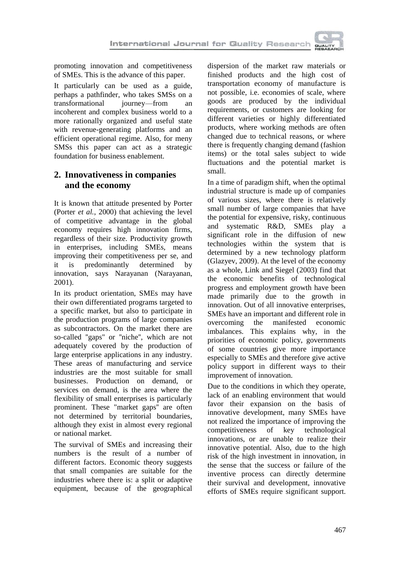

promoting innovation and competitiveness of SMEs. This is the advance of this paper.

It particularly can be used as a guide, perhaps a pathfinder, who takes SMSs on a transformational journey—from an incoherent and complex business world to a more rationally organized and useful state with revenue-generating platforms and an efficient operational regime. Also, for meny SMSs this paper can act as a strategic foundation for business enablement.

### **2. Innovativeness in companies and the economy**

It is known that attitude presented by Porter (Porter *et al.*, 2000) that achieving the level of competitive advantage in the global economy requires high innovation firms, regardless of their size. Productivity growth in enterprises, including SMEs, means improving their competitiveness per se, and it is predominantly determined by innovation, says Narayanan (Narayanan, 2001).

In its product orientation, SMEs may have their own differentiated programs targeted to a specific market, but also to participate in the production programs of large companies as subcontractors. On the market there are so-called ''gaps'' or ''niche'', which are not adequately covered by the production of large enterprise applications in any industry. These areas of manufacturing and service industries are the most suitable for small businesses. Production on demand, or services on demand, is the area where the flexibility of small enterprises is particularly prominent. These "market gaps'' are often not determined by territorial boundaries, although they exist in almost every regional or national market.

The survival of SMEs and increasing their numbers is the result of a number of different factors. Economic theory suggests that small companies are suitable for the industries where there is: a split or adaptive equipment, because of the geographical dispersion of the market raw materials or finished products and the high cost of transportation economy of manufacture is not possible, i.e. economies of scale, where goods are produced by the individual requirements, or customers are looking for different varieties or highly differentiated products, where working methods are often changed due to technical reasons, or where there is frequently changing demand (fashion items) or the total sales subject to wide fluctuations and the potential market is small.

In a time of paradigm shift, when the optimal industrial structure is made up of companies of various sizes, where there is relatively small number of large companies that have the potential for expensive, risky, continuous and systematic R&D, SMEs play a significant role in the diffusion of new technologies within the system that is determined by a new technology platform (Glazyev, 2009). At the level of the economy as a whole, Link and Siegel (2003) find that the economic benefits of technological progress and employment growth have been made primarily due to the growth in innovation. Out of all innovative enterprises, SMEs have an important and different role in overcoming the manifested economic imbalances. This explains why, in the priorities of economic policy, governments of some countries give more importance especially to SMEs and therefore give active policy support in different ways to their improvement of innovation.

Due to the conditions in which they operate, lack of an enabling environment that would favor their expansion on the basis of innovative development, many SMEs have not realized the importance of improving the competitiveness of key technological innovations, or are unable to realize their innovative potential. Also, due to the high risk of the high investment in innovation, in the sense that the success or failure of the inventive process can directly determine their survival and development, innovative efforts of SMEs require significant support.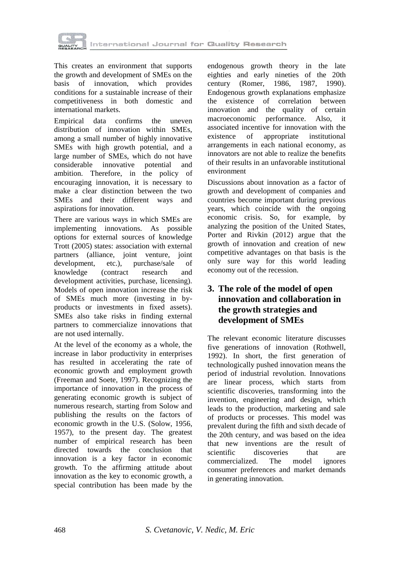

This creates an environment that supports the growth and development of SMEs on the basis of innovation, which provides conditions for a sustainable increase of their competitiveness in both domestic and international markets.

Empirical data confirms the uneven distribution of innovation within SMEs, among a small number of highly innovative SMEs with high growth potential, and a large number of SMEs, which do not have considerable innovative potential and ambition. Therefore, in the policy of encouraging innovation, it is necessary to make a clear distinction between the two SMEs and their different ways and aspirations for innovation.

There are various ways in which SMEs are implementing innovations. As possible options for external sources of knowledge Trott (2005) states: association with external partners (alliance, joint venture, joint development, etc.), purchase/sale of knowledge (contract research and development activities, purchase, licensing). Models of open innovation increase the risk of SMEs much more (investing in byproducts or investments in fixed assets). SMEs also take risks in finding external partners to commercialize innovations that are not used internally.

At the level of the economy as a whole, the increase in labor productivity in enterprises has resulted in accelerating the rate of economic growth and employment growth (Freeman and Soete, 1997). Recognizing the importance of innovation in the process of generating economic growth is subject of numerous research, starting from Solow and publishing the results on the factors of economic growth in the U.S. (Solow, 1956, 1957), to the present day. The greatest number of empirical research has been directed towards the conclusion that innovation is a key factor in economic growth. To the affirming attitude about innovation as the key to economic growth, a special contribution has been made by the

endogenous growth theory in the late eighties and early nineties of the 20th century (Romer, 1986, 1987, 1990). Endogenous growth explanations emphasize the existence of correlation between innovation and the quality of certain macroeconomic performance. Also, it associated incentive for innovation with the existence of appropriate institutional arrangements in each national economy, as innovators are not able to realize the benefits of their results in an unfavorable institutional environment

Discussions about innovation as a factor of growth and development of companies and countries become important during previous years, which coincide with the ongoing economic crisis. So, for example, by analyzing the position of the United States, Porter and Rivkin (2012) argue that the growth of innovation and creation of new competitive advantages on that basis is the only sure way for this world leading economy out of the recession.

### **3. The role of the model of open innovation and collaboration in the growth strategies and development of SMEs**

The relevant economic literature discusses five generations of innovation (Rothwell, 1992). In short, the first generation of technologically pushed innovation means the period of industrial revolution. Innovations are linear process, which starts from scientific discoveries, transforming into the invention, engineering and design, which leads to the production, marketing and sale of products or processes. This model was prevalent during the fifth and sixth decade of the 20th century, and was based on the idea that new inventions are the result of scientific discoveries that are commercialized. The model ignores consumer preferences and market demands in generating innovation.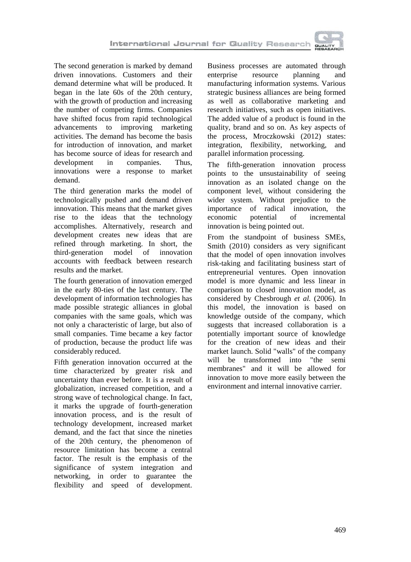

The second generation is marked by demand driven innovations. Customers and their demand determine what will be produced. It began in the late 60s of the 20th century, with the growth of production and increasing the number of competing firms. Companies have shifted focus from rapid technological advancements to improving marketing activities. The demand has become the basis for introduction of innovation, and market has become source of ideas for research and development in companies. Thus, innovations were a response to market demand.

The third generation marks the model of technologically pushed and demand driven innovation. This means that the market gives rise to the ideas that the technology accomplishes. Alternatively, research and development creates new ideas that are refined through marketing. In short, the third-generation model of innovation accounts with feedback between research results and the market.

The fourth generation of innovation emerged in the early 80-ties of the last century. The development of information technologies has made possible strategic alliances in global companies with the same goals, which was not only a characteristic of large, but also of small companies. Time became a key factor of production, because the product life was considerably reduced.

Fifth generation innovation occurred at the time characterized by greater risk and uncertainty than ever before. It is a result of globalization, increased competition, and a strong wave of technological change. In fact, it marks the upgrade of fourth-generation innovation process, and is the result of technology development, increased market demand, and the fact that since the nineties of the 20th century, the phenomenon of resource limitation has become a central factor. The result is the emphasis of the significance of system integration and networking, in order to guarantee the flexibility and speed of development.

Business processes are automated through enterprise resource planning and manufacturing information systems. Various strategic business alliances are being formed as well as collaborative marketing and research initiatives, such as open initiatives. The added value of a product is found in the quality, brand and so on. As key aspects of the process, Mroczkowski (2012) states: integration, flexibility, networking, and parallel information processing.

The fifth-generation innovation process points to the unsustainability of seeing innovation as an isolated change on the component level, without considering the wider system. Without prejudice to the importance of radical innovation, the economic potential of incremental innovation is being pointed out.

From the standpoint of business SMEs, Smith (2010) considers as very significant that the model of open innovation involves risk-taking and facilitating business start of entrepreneurial ventures. Open innovation model is more dynamic and less linear in comparison to closed innovation model, as considered by Chesbrough *et al.* (2006). In this model, the innovation is based on knowledge outside of the company, which suggests that increased collaboration is a potentially important source of knowledge for the creation of new ideas and their market launch. Solid "walls" of the company will be transformed into "the semi membranes" and it will be allowed for innovation to move more easily between the environment and internal innovative carrier.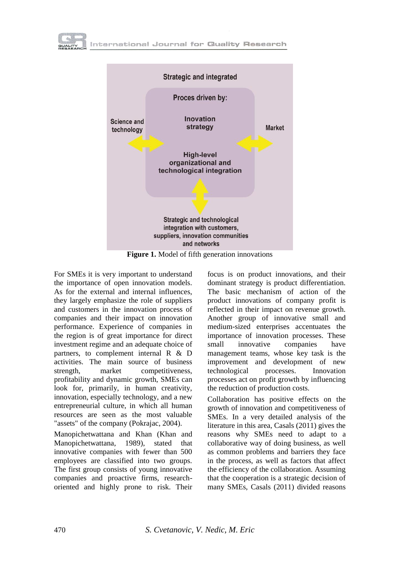



**Figure 1.** Model of fifth generation innovations

For SMEs it is very important to understand the importance of open innovation models. As for the external and internal influences, they largely emphasize the role of suppliers and customers in the innovation process of companies and their impact on innovation performance. Experience of companies in the region is of great importance for direct investment regime and an adequate choice of partners, to complement internal R & D activities. The main source of business strength, market competitiveness, profitability and dynamic growth, SMEs can look for, primarily, in human creativity, innovation, especially technology, and a new entrepreneurial culture, in which all human resources are seen as the most valuable "assets" of the company (Pokrajac, 2004).

Manopichetwattana and Khan (Khan and Manopichetwattana, 1989), stated that innovative companies with fewer than 500 employees are classified into two groups. The first group consists of young innovative companies and proactive firms, researchoriented and highly prone to risk. Their focus is on product innovations, and their dominant strategy is product differentiation. The basic mechanism of action of the product innovations of company profit is reflected in their impact on revenue growth. Another group of innovative small and medium-sized enterprises accentuates the importance of innovation processes. These small innovative companies have management teams, whose key task is the improvement and development of new technological processes. Innovation processes act on profit growth by influencing the reduction of production costs.

Collaboration has positive effects on the growth of innovation and competitiveness of SMEs. In a very detailed analysis of the literature in this area, Casals (2011) gives the reasons why SMEs need to adapt to a collaborative way of doing business, as well as common problems and barriers they face in the process, as well as factors that affect the efficiency of the collaboration. Assuming that the cooperation is a strategic decision of many SMEs, Casals (2011) divided reasons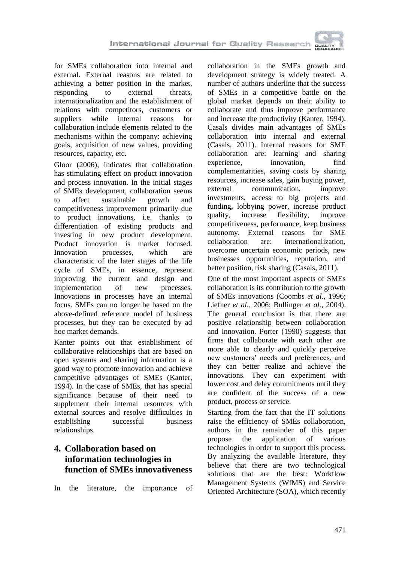

for SMEs collaboration into internal and external. External reasons are related to achieving a better position in the market, responding to external threats, internationalization and the establishment of relations with competitors, customers or suppliers while internal reasons for collaboration include elements related to the mechanisms within the company: achieving goals, acquisition of new values, providing resources, capacity, etc.

Gloor (2006), indicates that collaboration has stimulating effect on product innovation and process innovation. In the initial stages of SMEs development, collaboration seems to affect sustainable growth and competitiveness improvement primarily due to product innovations, i.e. thanks to differentiation of existing products and investing in new product development. Product innovation is market focused. Innovation processes, which are characteristic of the later stages of the life cycle of SMEs, in essence, represent improving the current and design and<br>implementation of new processes. implementation of Innovations in processes have an internal focus. SMEs can no longer be based on the above-defined reference model of business processes, but they can be executed by ad hoc market demands.

Kanter points out that establishment of collaborative relationships that are based on open systems and sharing information is a good way to promote innovation and achieve competitive advantages of SMEs (Kanter, 1994). In the case of SMEs, that has special significance because of their need to supplement their internal resources with external sources and resolve difficulties in establishing successful business relationships.

# **4. Collaboration based on information technologies in function of SMEs innovativeness**

In the literature, the importance of

collaboration in the SMEs growth and development strategy is widely treated. A number of authors underline that the success of SMEs in a competitive battle on the global market depends on their ability to collaborate and thus improve performance and increase the productivity (Kanter, 1994). Casals divides main advantages of SMEs collaboration into internal and external (Casals, 2011). Internal reasons for SME collaboration are: learning and sharing experience, innovation, find complementarities, saving costs by sharing resources, increase sales, gain buying power, external communication, improve investments, access to big projects and funding, lobbying power, increase product quality, increase flexibility, improve competitiveness, performance, keep business autonomy. External reasons for SME collaboration are: internationalization, overcome uncertain economic periods, new businesses opportunities, reputation, and better position, risk sharing (Casals, 2011).

One of the most important aspects of SMEs collaboration is its contribution to the growth of SMEs innovations (Coombs *et al.*, 1996; Liefner *et al.*, 2006; Bullinger *et al.*, 2004). The general conclusion is that there are positive relationship between collaboration and innovation. Porter (1990) suggests that firms that collaborate with each other are more able to clearly and quickly perceive new customers' needs and preferences, and they can better realize and achieve the innovations. They can experiment with lower cost and delay commitments until they are confident of the success of a new product, process or service.

Starting from the fact that the IT solutions raise the efficiency of SMEs collaboration, authors in the remainder of this paper propose the application of various technologies in order to support this process. By analyzing the available literature, they believe that there are two technological solutions that are the best: Workflow Management Systems (WfMS) and Service Oriented Architecture (SOA), which recently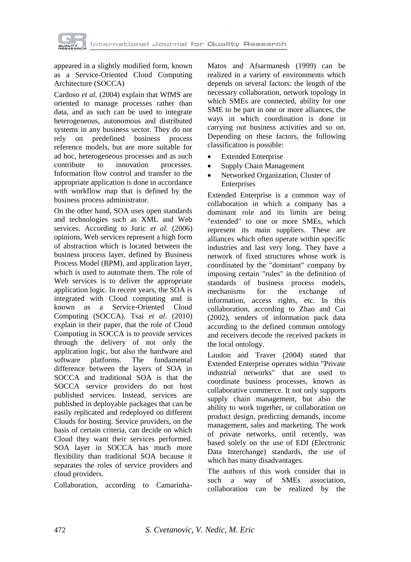

appeared in a slightly modified form, known as a Service-Oriented Cloud Computing Architecture (SOCCA)

Cardoso *et al.* (2004) explain that WfMS are oriented to manage processes rather than data, and as such can be used to integrate heterogeneous, autonomous and distributed systems in any business sector. They do not rely on predefined business process reference models, but are more suitable for ad hoc, heterogeneous processes and as such contribute to innovation processes. Information flow control and transfer to the appropriate application is done in accordance with workflow map that is defined by the business process administrator.

On the other hand, SOA uses open standards and technologies such as XML and Web services. According to Juric *et al.* (2006) opinions, Web services represent a high form of abstraction which is located between the business process layer, defined by Business Process Model (BPM), and application layer, which is used to automate them. The role of Web services is to deliver the appropriate application logic. In recent years, the SOA is integrated with Cloud computing and is known as a Service-Oriented Cloud Computing (SOCCA). Tsai *et al.* (2010) explain in their paper, that the role of Cloud Computing in SOCCA is to provide services through the delivery of not only the application logic, but also the hardware and software platforms. The fundamental difference between the layers of SOA in SOCCA and traditional SOA is that the SOCCA service providers do not host published services. Instead, services are published in deployable packages that can be easily replicated and redeployed on different Clouds for hosting. Service providers, on the basis of certain criteria, can decide on which Cloud they want their services performed. SOA layer in SOCCA has much more flexibility than traditional SOA because it separates the roles of service providers and cloud providers.

Collaboration, according to Camarinha-

Matos and Afsarmanesh (1999) can be realized in a variety of environments which depends on several factors: the length of the necessary collaboration, network topology in which SMEs are connected, ability for one SME to be part in one or more alliances, the ways in which coordination is done in carrying out business activities and so on. Depending on these factors, the following classification is possible:

- Extended Enterprise
- Supply Chain Management
- Networked Organization, Cluster of **Enterprises**

Extended Enterprise is a common way of collaboration in which a company has a dominant role and its limits are being "extended" to one or more SMEs, which represent its main suppliers. These are alliances which often operate within specific industries and last very long. They have a network of fixed structures whose work is coordinated by the "dominant" company by imposing certain "rules" in the definition of standards of business process models,<br>mechanisms for the exchange of for the exchange of information, access rights, etc. In this collaboration, according to Zhao and Cai (2002), senders of information pack data according to the defined common ontology and receivers decode the received packets in the local ontology.

Laudon and Traver (2004) stated that Extended Enterprise operates within "Private industrial networks" that are used to coordinate business processes, known as collaborative commerce. It not only supports supply chain management, but also the ability to work together, or collaboration on product design, predicting demands, income management, sales and marketing. The work of private networks, until recently, was based solely on the use of EDI (Electronic Data Interchange) standards, the use of which has many disadvantages.

The authors of this work consider that in such a way of SMEs association, collaboration can be realized by the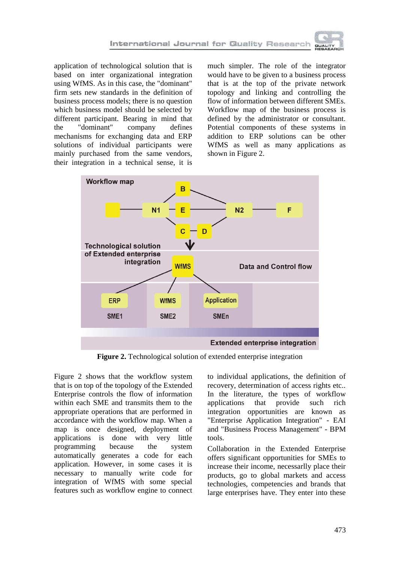

application of technological solution that is based on inter organizational integration using WfMS. As in this case, the "dominant" firm sets new standards in the definition of business process models; there is no question which business model should be selected by different participant. Bearing in mind that the "dominant" company defines mechanisms for exchanging data and ERP solutions of individual participants were mainly purchased from the same vendors, their integration in a technical sense, it is

much simpler. The role of the integrator would have to be given to a business process that is at the top of the private network topology and linking and controlling the flow of information between different SMEs. Workflow map of the business process is defined by the administrator or consultant. Potential components of these systems in addition to ERP solutions can be other WfMS as well as many applications as shown in Figure 2.



**Figure 2.** Technological solution of extended enterprise integration

Figure 2 shows that the workflow system that is on top of the topology of the Extended Enterprise controls the flow of information within each SME and transmits them to the appropriate operations that are performed in accordance with the workflow map. When a map is once designed, deployment of applications is done with very little programming because the system automatically generates a code for each application. However, in some cases it is necessary to manually write code for integration of WfMS with some special features such as workflow engine to connect to individual applications, the definition of recovery, determination of access rights etc.. In the literature, the types of workflow applications that provide such rich integration opportunities are known as "Enterprise Application Integration" - EAI and "Business Process Management" - BPM tools.

Collaboration in the Extended Enterprise offers significant opportunities for SMEs to increase their income, necessarlly place their products, go to global markets and access technologies, competencies and brands that large enterprises have. They enter into these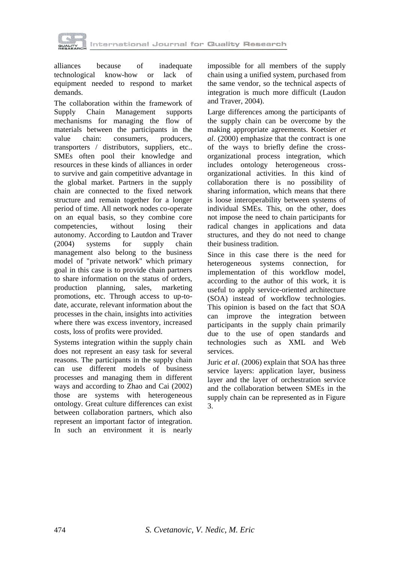

alliances because of inadequate technological know-how or lack of equipment needed to respond to market demands.

The collaboration within the framework of Supply Chain Management supports mechanisms for managing the flow of materials between the participants in the value chain: consumers, producers, transporters / distributors, suppliers, etc.. SMEs often pool their knowledge and resources in these kinds of alliances in order to survive and gain competitive advantage in the global market. Partners in the supply chain are connected to the fixed network structure and remain together for a longer period of time. All network nodes co-operate on an equal basis, so they combine core competencies, without losing their autonomy. According to Lautdon and Traver (2004) systems for supply chain management also belong to the business model of "private network" which primary goal in this case is to provide chain partners to share information on the status of orders, production planning, sales, marketing promotions, etc. Through access to up-todate, accurate, relevant information about the processes in the chain, insights into activities where there was excess inventory, increased costs, loss of profits were provided.

Systems integration within the supply chain does not represent an easy task for several reasons. The participants in the supply chain can use different models of business processes and managing them in different ways and according to Zhao and Cai (2002) those are systems with heterogeneous ontology. Great culture differences can exist between collaboration partners, which also represent an important factor of integration. In such an environment it is nearly

impossible for all members of the supply chain using a unified system, purchased from the same vendor, so the technical aspects of integration is much more difficult (Laudon and Traver, 2004).

Large differences among the participants of the supply chain can be overcome by the making appropriate agreements. Koetsier *et al*. (2000) emphasize that the contract is one of the ways to briefly define the crossorganizational process integration, which includes ontology heterogeneous crossorganizational activities. In this kind of collaboration there is no possibility of sharing information, which means that there is loose interoperability between systems of individual SMEs. This, on the other, does not impose the need to chain participants for radical changes in applications and data structures, and they do not need to change their business tradition.

Since in this case there is the need for heterogeneous systems connection, for implementation of this workflow model, according to the author of this work, it is useful to apply service-oriented architecture (SOA) instead of workflow technologies. This opinion is based on the fact that SOA can improve the integration between participants in the supply chain primarily due to the use of open standards and technologies such as XML and Web services.

Juric *et al*. (2006) explain that SOA has three service layers: application layer, business layer and the layer of orchestration service and the collaboration between SMEs in the supply chain can be represented as in Figure 3.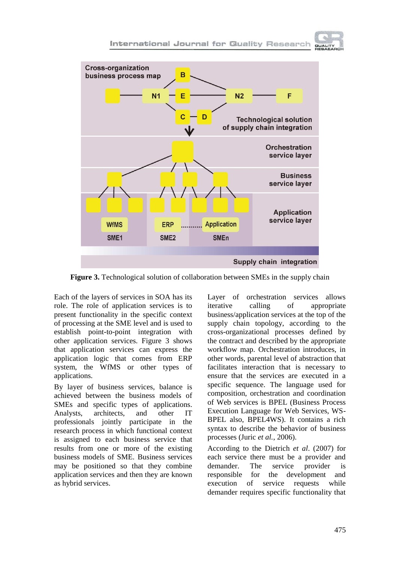

**Figure 3.** Technological solution of collaboration between SMEs in the supply chain

Each of the layers of services in SOA has its role. The role of application services is to present functionality in the specific context of processing at the SME level and is used to establish point-to-point integration with other application services. Figure 3 shows that application services can express the application logic that comes from ERP system, the WfMS or other types of applications.

By layer of business services, balance is achieved between the business models of SMEs and specific types of applications. Analysts, architects, and other IT professionals jointly participate in the research process in which functional context is assigned to each business service that results from one or more of the existing business models of SME. Business services may be positioned so that they combine application services and then they are known as hybrid services.

Layer of orchestration services allows iterative calling of appropriate business/application services at the top of the supply chain topology, according to the cross-organizational processes defined by the contract and described by the appropriate workflow map. Orchestration introduces, in other words, parental level of abstraction that facilitates interaction that is necessary to ensure that the services are executed in a specific sequence. The language used for composition, orchestration and coordination of Web services is BPEL (Business Process Execution Language for Web Services, WS-BPEL also, BPEL4WS). It contains a rich syntax to describe the behavior of business processes (Juric *et al.*, 2006).

According to the Dietrich *et al*. (2007) for each service there must be a provider and demander. The service provider is responsible for the development and execution of service requests while demander requires specific functionality that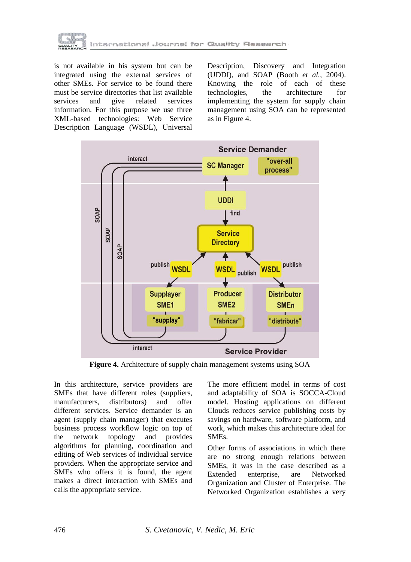

is not available in his system but can be integrated using the external services of other SMEs. For service to be found there must be service directories that list available services and give related services information. For this purpose we use three XML-based technologies: Web Service Description Language (WSDL), Universal Description, Discovery and Integration (UDDI), and SOAP (Booth *et al.*, 2004). Knowing the role of each of these technologies, the architecture for implementing the system for supply chain management using SOA can be represented as in Figure 4.



**Figure 4.** Architecture of supply chain management systems using SOA

In this architecture, service providers are SMEs that have different roles (suppliers, manufacturers, distributors) and offer different services. Service demander is an agent (supply chain manager) that executes business process workflow logic on top of the network topology and provides algorithms for planning, coordination and editing of Web services of individual service providers. When the appropriate service and SMEs who offers it is found, the agent makes a direct interaction with SMEs and calls the appropriate service.

The more efficient model in terms of cost and adaptability of SOA is SOCCA-Cloud model. Hosting applications on different Clouds reduces service publishing costs by savings on hardware, software platform, and work, which makes this architecture ideal for SMEs.

Other forms of associations in which there are no strong enough relations between SMEs, it was in the case described as a Extended enterprise, are Networked Organization and Cluster of Enterprise. The Networked Organization establishes a very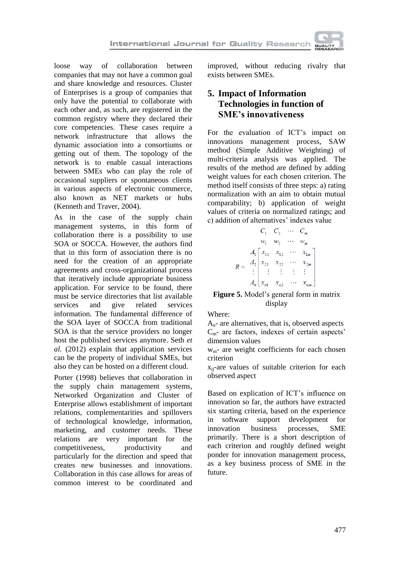

loose way of collaboration between companies that may not have a common goal and share knowledge and resources. Cluster of Enterprises is a group of companies that only have the potential to collaborate with each other and, as such, are registered in the common registry where they declared their core competencies. These cases require a network infrastructure that allows the dynamic association into a consortiums or getting out of them. The topology of the network is to enable casual interactions between SMEs who can play the role of occasional suppliers or spontaneous clients in various aspects of electronic commerce, also known as NET markets or hubs (Kenneth and Traver, 2004).

As in the case of the supply chain management systems, in this form of collaboration there is a possibility to use SOA or SOCCA. However, the authors find that in this form of association there is no need for the creation of an appropriate agreements and cross-organizational process that iteratively include appropriate business application. For service to be found, there must be service directories that list available services and give related services information. The fundamental difference of the SOA layer of SOCCA from traditional SOA is that the service providers no longer host the published services anymore. Seth *et al.* (2012) explain that application services can be the property of individual SMEs, but also they can be hosted on a different cloud.

Porter (1998) believes that collaboration in the supply chain management systems, Networked Organization and Cluster of Enterprise allows establishment of important relations, complementarities and spillovers of technological knowledge, information, marketing, and customer needs. These relations are very important for the competitiveness, productivity and particularly for the direction and speed that creates new businesses and innovations. Collaboration in this case allows for areas of common interest to be coordinated and

improved, without reducing rivalry that exists between SMEs.

### **5. Impact of Information Technologies in function of SME's innovativeness**

For the evaluation of ICT's impact on innovations management process, SAW method (Simple Additive Weighting) of multi-criteria analysis was applied. The results of the method are defined by adding weight values for each chosen criterion. The method itself consists of three steps: a) rating normalization with an aim to obtain mutual comparability; b) application of weight values of criteria on normalized ratings; and c) addition of alternatives' indexes value

|            |       | $C_{2}$                                                                                                    |                |  |
|------------|-------|------------------------------------------------------------------------------------------------------------|----------------|--|
|            | $W_1$ | $w_2$                                                                                                      | $W_m$          |  |
|            |       | $A_1 \begin{bmatrix} x_{11} & x_{12} \end{bmatrix}$                                                        | $x_{1m}$       |  |
|            |       | $\begin{array}{c ccccc}\nA_2 & x_{21} & x_{22} & \cdots \\ \vdots & \vdots & \vdots & \vdots\n\end{array}$ |                |  |
|            |       |                                                                                                            |                |  |
| $A_n \mid$ |       | $x_{n1}$ $x_{n2}$                                                                                          | $\lambda_{nm}$ |  |

#### **Figure 5.** Model's general form in matrix display

Where:

 $A_n$ - are alternatives, that is, observed aspects  $C<sub>m</sub>$ - are factors, indexes of certain aspects' dimension values

wm- are weight coefficients for each chosen criterion

xij-are values of suitable criterion for each observed aspect

Based on explication of ICT's influence on innovation so far, the authors have extracted six starting criteria, based on the experience in software support development for innovation business processes, SME primarily. There is a short description of each criterion and roughly defined weight ponder for innovation management process, as a key business process of SME in the future.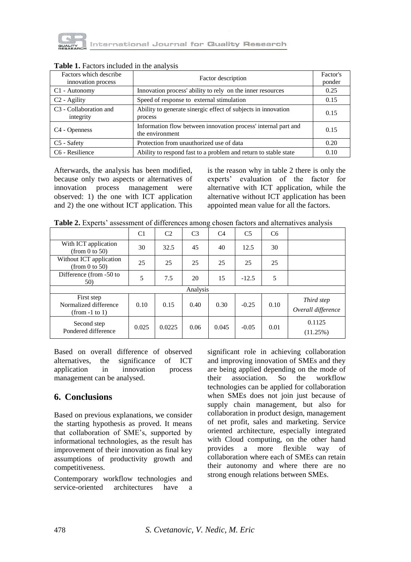

| Factors which describe<br>innovation process    | Factor description                                                                | Factor's<br>ponder |
|-------------------------------------------------|-----------------------------------------------------------------------------------|--------------------|
| C1 - Autonomy                                   | Innovation process' ability to rely on the inner resources                        | 0.25               |
| C <sub>2</sub> - Agility                        | Speed of response to external stimulation                                         | 0.15               |
| C <sub>3</sub> - Collaboration and<br>integrity | Ability to generate sinergic effect of subjects in innovation<br>process          | 0.15               |
| C <sub>4</sub> - Openness                       | Information flow between innovation process' internal part and<br>the environment | 0.15               |
| C5 - Safety                                     | Protection from unauthorized use of data                                          | 0.20               |
| C6 - Resilience                                 | Ability to respond fast to a problem and return to stable state                   | 0.10               |

#### **Table 1.** Factors included in the analysis

Afterwards, the analysis has been modified, because only two aspects or alternatives of innovation process management were observed: 1) the one with ICT application and 2) the one without ICT application. This is the reason why in table 2 there is only the experts' evaluation of the factor for alternative with ICT application, while the alternative without ICT application has been appointed mean value for all the factors.

| Table 2. Experts' assessment of differences among chosen factors and alternatives analysis |  |
|--------------------------------------------------------------------------------------------|--|
|--------------------------------------------------------------------------------------------|--|

|                                                         | C <sub>1</sub> | C <sub>2</sub> | C <sub>3</sub> | C <sub>4</sub> | C <sub>5</sub> | C <sub>6</sub> |                                  |
|---------------------------------------------------------|----------------|----------------|----------------|----------------|----------------|----------------|----------------------------------|
| With ICT application<br>(from 0 to 50)                  | 30             | 32.5           | 45             | 40             | 12.5           | 30             |                                  |
| Without ICT application<br>(from $0$ to $50$ )          | 25             | 25             | 25             | 25             | 25             | 25             |                                  |
| Difference (from -50 to<br>50)                          | 5              | 7.5            | 20             | 15             | $-12.5$        | 5              |                                  |
| Analysis                                                |                |                |                |                |                |                |                                  |
| First step<br>Normalized difference<br>$(from -1 to 1)$ | 0.10           | 0.15           | 0.40           | 0.30           | $-0.25$        | 0.10           | Third step<br>Overall difference |
| Second step<br>Pondered difference                      | 0.025          | 0.0225         | 0.06           | 0.045          | $-0.05$        | 0.01           | 0.1125<br>(11.25%)               |

Based on overall difference of observed alternatives, the significance of ICT application in innovation process management can be analysed.

### **6. Conclusions**

Based on previous explanations, we consider the starting hypothesis as proved. It means that collaboration of SME's, supported by informational technologies, as the result has improvement of their innovation as final key assumptions of productivity growth and competitiveness.

Contemporary workflow technologies and service-oriented architectures have a

significant role in achieving collaboration and improving innovation of SMEs and they are being applied depending on the mode of their association. So the workflow technologies can be applied for collaboration when SMEs does not join just because of supply chain management, but also for collaboration in product design, management of net profit, sales and marketing. Service oriented architecture, especially integrated with Cloud computing, on the other hand provides a more flexible way of collaboration where each of SMEs can retain their autonomy and where there are no strong enough relations between SMEs.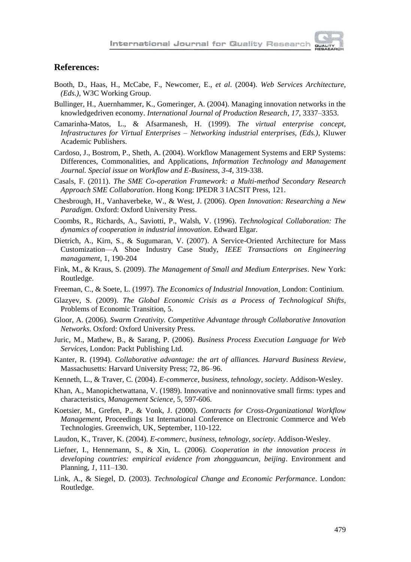

### **References:**

- Booth, D., Haas, H., McCabe, F., Newcomer, E., *et al*. (2004). *Web Services Architecture, (Eds.)*, W3C Working Group.
- Bullinger, H., Auernhammer, K., Gomeringer, A. (2004). Managing innovation networks in the knowledgedriven economy. *International Journal of Production Research*, *17*, 3337–3353.
- Camarinha-Matos, L., & Afsarmanesh, H. (1999). *The virtual enterprise concept, Infrastructures for Virtual Enterprises – Networking industrial enterprises, (Eds.)*, Kluwer Academic Publishers.
- Cardoso, J., Bostrom, P., Sheth, A. (2004). Workflow Management Systems and ERP Systems: Differences, Commonalities, and Applications, *Information Technology and Management Journal. Special issue on Workflow and E-Business*, *3-4*, 319-338.
- Casals, F. (2011). *The SME Co-operation Framework: a Multi-method Secondary Research Approach SME Collaboration*. Hong Kong: IPEDR 3 IACSIT Press, 121.
- Chesbrough, H., Vanhaverbeke, W., & West, J. (2006). *Open Innovation: Researching a New Paradigm*. Oxford: Oxford University Press.
- Coombs, R., Richards, A., Saviotti, P., Walsh, V. (1996). *Technological Collaboration: The dynamics of cooperation in industrial innovation*. Edward Elgar.
- Dietrich, A., Kirn, S., & Sugumaran, V. (2007). A Service-Oriented Architecture for Mass Customization—A Shoe Industry Case Study, *IEEE Transactions on Engineering managament*, 1, 190-204
- Fink, M., & Kraus, S. (2009). *The Management of Small and Medium Enterprises*. New York: Routledge.
- Freeman, C., & Soete, L. (1997). *The Economics of Industrial Innovation*, London: Continium.
- Glazyev, S. (2009). *The Global Economic Crisis as a Process of Technological Shifts*, Problems of Economic Transition, 5.
- Gloor, A. (2006). *Swarm Creativity. Competitive Advantage through Collaborative Innovation Networks*. Oxford: Oxford University Press.
- Juric, M., Mathew, B., & Sarang, P. (2006). *Business Process Execution Language for Web Services*, London: Packt Publishing Ltd.
- Kanter, R. (1994). *Collaborative advantage: the art of alliances. Harvard Business Review*, Massachusetts: Harvard University Press; 72, 86–96.
- Kenneth, L., & Traver, C. (2004). *E-commerce, business, tehnology, society*. Addison-Wesley.
- Khan, A., Manopichetwattana, V. (1989). Innovative and noninnovative small firms: types and characteristics, *Management Science*, 5, 597-606.
- Koetsier, M., Grefen, P., & Vonk, J. (2000). *Contracts for Cross-Organizational Workflow Management*, Proceedings 1st International Conference on Electronic Commerce and Web Technologies. Greenwich, UK, September, 110-122.
- Laudon, K., Traver, K. (2004). *E-commerc, business, tehnology, society*. Addison-Wesley.
- Liefner, I., Hennemann, S., & Xin, L. (2006). *Cooperation in the innovation process in developing countries: empirical evidence from zhongguancun, beijing*. Environment and Planning, *1*, 111–130.
- Link, A., & Siegel, D. (2003). *Technological Change and Economic Performance*. London: Routledge.